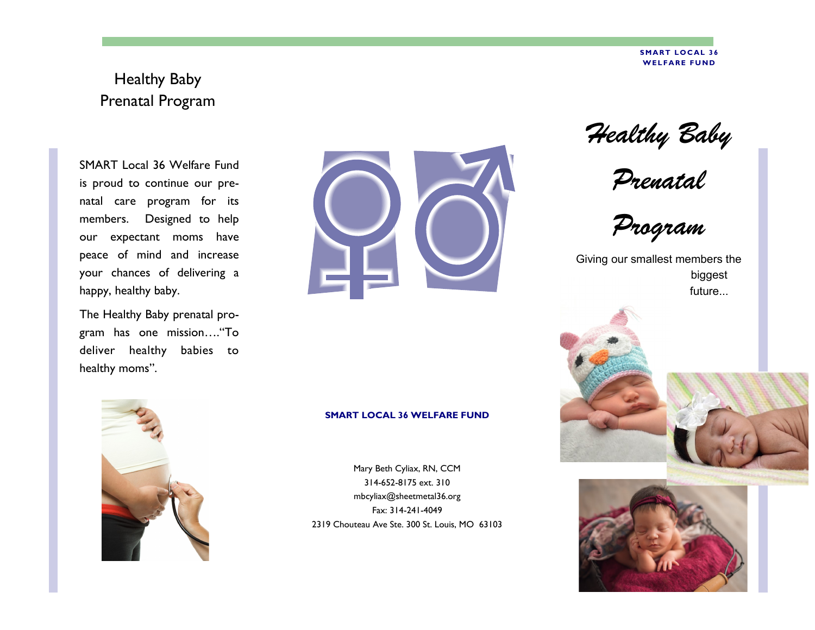#### **SMART LOCAL 36 WELFARE FUND**

# Healthy Baby Prenatal Program

SMART Local 36 Welfare Fund is proud to continue our prenatal care program for its members. Designed to help our expectant moms have peace of mind and increase your chances of delivering a happy, healthy baby.

The Healthy Baby prenatal program has one mission…."To deliver healthy babies to healthy moms".



#### **SMART LOCAL 36 WELFARE FUND**

Mary Beth Cyliax, RN, CCM 314-652-8175 ext. 310 mbcyliax@sheetmetal36.org Fax: 314-241-4049 2319 Chouteau Ave Ste. 300 St. Louis, MO 63103



*Prenatal* 

*Program*

Giving our smallest members the biggest future...